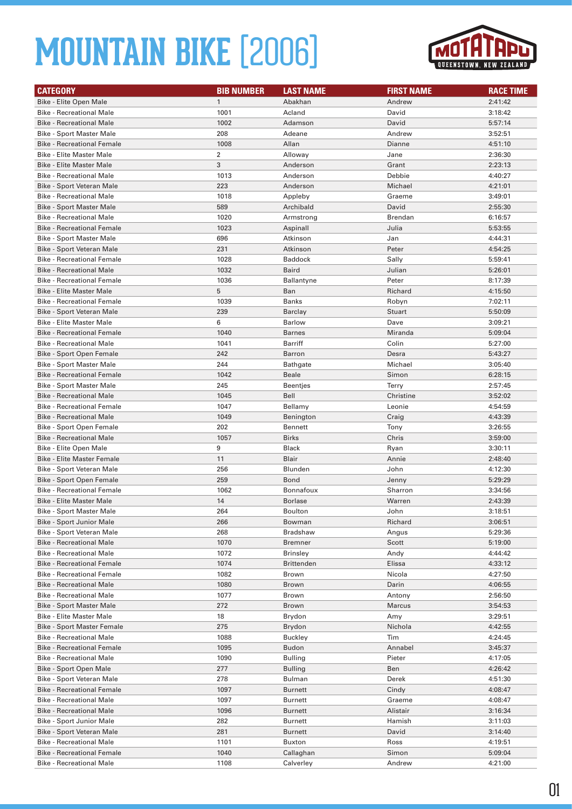

| <b>CATEGORY</b>                   | <b>BIB NUMBER</b> | <b>LAST NAME</b>     | <b>FIRST NAME</b> | <b>RACE TIME</b> |
|-----------------------------------|-------------------|----------------------|-------------------|------------------|
| Bike - Elite Open Male            | $\mathbf{1}$      | Abakhan              | Andrew            | 2:41:42          |
| <b>Bike - Recreational Male</b>   | 1001              | Acland               | David             | 3:18:42          |
| <b>Bike - Recreational Male</b>   | 1002              | Adamson              | David             | 5:57:14          |
| <b>Bike - Sport Master Male</b>   | 208               | Adeane               | Andrew            | 3:52:51          |
| <b>Bike - Recreational Female</b> | 1008              | Allan                | Dianne            | 4:51:10          |
| <b>Bike - Elite Master Male</b>   | $\overline{2}$    | Alloway              | Jane              | 2:36:30          |
| <b>Bike - Elite Master Male</b>   | 3                 | Anderson             | Grant             | 2:23:13          |
| <b>Bike - Recreational Male</b>   | 1013              | Anderson             | Debbie            | 4:40:27          |
| Bike - Sport Veteran Male         | 223               | Anderson             | Michael           | 4:21:01          |
| <b>Bike - Recreational Male</b>   | 1018              | Appleby              | Graeme            | 3:49:01          |
| <b>Bike - Sport Master Male</b>   | 589               | Archibald            | David             |                  |
| <b>Bike - Recreational Male</b>   | 1020              |                      | Brendan           | 2:55:30          |
| <b>Bike - Recreational Female</b> | 1023              | Armstrong            |                   | 6:16:57          |
|                                   | 696               | Aspinall<br>Atkinson | Julia             | 5:53:55          |
| <b>Bike - Sport Master Male</b>   |                   |                      | Jan               | 4:44:31          |
| Bike - Sport Veteran Male         | 231               | Atkinson             | Peter             | 4:54:25          |
| <b>Bike - Recreational Female</b> | 1028              | <b>Baddock</b>       | Sally             | 5:59:41          |
| <b>Bike - Recreational Male</b>   | 1032              | <b>Baird</b>         | Julian            | 5:26:01          |
| <b>Bike - Recreational Female</b> | 1036              | <b>Ballantyne</b>    | Peter             | 8:17:39          |
| <b>Bike - Elite Master Male</b>   | 5                 | Ban                  | Richard           | 4:15:50          |
| <b>Bike - Recreational Female</b> | 1039              | Banks                | Robyn             | 7:02:11          |
| Bike - Sport Veteran Male         | 239               | Barclay              | <b>Stuart</b>     | 5:50:09          |
| <b>Bike - Elite Master Male</b>   | 6                 | <b>Barlow</b>        | Dave              | 3:09:21          |
| <b>Bike - Recreational Female</b> | 1040              | <b>Barnes</b>        | Miranda           | 5:09:04          |
| <b>Bike - Recreational Male</b>   | 1041              | Barriff              | Colin             | 5:27:00          |
| Bike - Sport Open Female          | 242               | <b>Barron</b>        | Desra             | 5:43:27          |
| Bike - Sport Master Male          | 244               | <b>Bathgate</b>      | Michael           | 3:05:40          |
| <b>Bike - Recreational Female</b> | 1042              | <b>Beale</b>         | Simon             | 6:28:15          |
| <b>Bike - Sport Master Male</b>   | 245               | <b>Beentjes</b>      | <b>Terry</b>      | 2:57:45          |
| <b>Bike - Recreational Male</b>   | 1045              | Bell                 | Christine         | 3:52:02          |
| <b>Bike - Recreational Female</b> | 1047              | Bellamy              | Leonie            | 4:54:59          |
| <b>Bike - Recreational Male</b>   | 1049              | Benington            | Craig             | 4:43:39          |
| Bike - Sport Open Female          | 202               | <b>Bennett</b>       | Tony              | 3:26:55          |
| <b>Bike - Recreational Male</b>   | 1057              | <b>Birks</b>         | Chris             | 3:59:00          |
| Bike - Elite Open Male            | 9                 | Black                | Ryan              | 3:30:11          |
| <b>Bike - Elite Master Female</b> | 11                | <b>Blair</b>         | Annie             | 2:48:40          |
| Bike - Sport Veteran Male         | 256               | Blunden              | John              | 4:12:30          |
| Bike - Sport Open Female          | 259               | <b>Bond</b>          | Jenny             | 5:29:29          |
| <b>Bike - Recreational Female</b> | 1062              | Bonnafoux            | Sharron           | 3:34:56          |
| <b>Bike - Elite Master Male</b>   | 14                | <b>Borlase</b>       | Warren            | 2:43:39          |
| Bike - Sport Master Male          | 264               | Boulton              | John              | 3:18:51          |
| Bike - Sport Junior Male          | 266               | Bowman               | Richard           | 3:06:51          |
| Bike - Sport Veteran Male         | 268               | <b>Bradshaw</b>      | Angus             | 5:29:36          |
| <b>Bike - Recreational Male</b>   | 1070              | <b>Bremner</b>       | Scott             | 5:19:00          |
| <b>Bike - Recreational Male</b>   | 1072              | <b>Brinsley</b>      | Andy              | 4:44:42          |
| <b>Bike - Recreational Female</b> | 1074              | <b>Brittenden</b>    | Elissa            | 4:33:12          |
| <b>Bike - Recreational Female</b> | 1082              | Brown                | Nicola            | 4:27:50          |
| <b>Bike - Recreational Male</b>   | 1080              | <b>Brown</b>         | Darin             | 4:06:55          |
| <b>Bike - Recreational Male</b>   | 1077              | Brown                | Antony            | 2:56:50          |
| <b>Bike - Sport Master Male</b>   | 272               | Brown                | <b>Marcus</b>     | 3:54:53          |
| <b>Bike - Elite Master Male</b>   | 18                | Brydon               | Amy               | 3:29:51          |
| <b>Bike - Sport Master Female</b> | 275               | Brydon               | Nichola           | 4:42:55          |
| <b>Bike - Recreational Male</b>   | 1088              | <b>Buckley</b>       | Tim               | 4:24:45          |
| <b>Bike - Recreational Female</b> | 1095              | <b>Budon</b>         | Annabel           | 3:45:37          |
| <b>Bike - Recreational Male</b>   | 1090              | <b>Bulling</b>       | Pieter            | 4:17:05          |
| Bike - Sport Open Male            | 277               | <b>Bulling</b>       | Ben               | 4:26:42          |
| Bike - Sport Veteran Male         | 278               | Bulman               | Derek             | 4:51:30          |
| <b>Bike - Recreational Female</b> | 1097              | Burnett              | Cindy             | 4:08:47          |
| <b>Bike - Recreational Male</b>   | 1097              | Burnett              | Graeme            | 4:08:47          |
| <b>Bike - Recreational Male</b>   | 1096              | <b>Burnett</b>       | Alistair          | 3:16:34          |
| Bike - Sport Junior Male          | 282               | Burnett              | Hamish            | 3:11:03          |
| Bike - Sport Veteran Male         | 281               | <b>Burnett</b>       | David             | 3:14:40          |
| <b>Bike - Recreational Male</b>   | 1101              | Buxton               | Ross              | 4:19:51          |
| <b>Bike - Recreational Female</b> | 1040              | Callaghan            | Simon             | 5:09:04          |
| <b>Bike - Recreational Male</b>   | 1108              | Calverley            | Andrew            | 4:21:00          |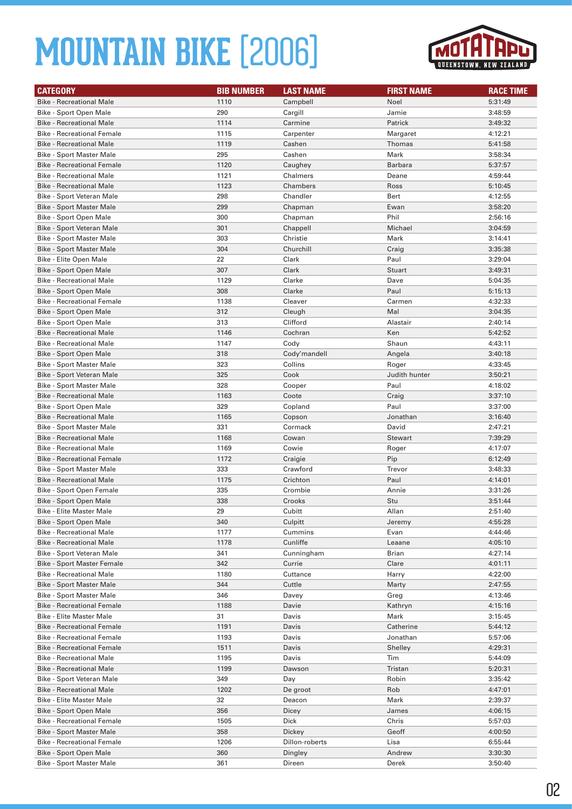

| <b>CATEGORY</b>                                                      | <b>BIB NUMBER</b> | <b>LAST NAME</b> | <b>FIRST NAME</b> | <b>RACE TIME</b>   |
|----------------------------------------------------------------------|-------------------|------------------|-------------------|--------------------|
| <b>Bike - Recreational Male</b>                                      | 1110              | Campbell         | Noel              | 5:31:49            |
| Bike - Sport Open Male                                               | 290               | Cargill          | Jamie             | 3:48:59            |
| <b>Bike - Recreational Male</b>                                      | 1114              | Carmine          | Patrick           | 3:49:32            |
| <b>Bike - Recreational Female</b>                                    | 1115              | Carpenter        | Margaret          | 4:12:21            |
| <b>Bike - Recreational Male</b>                                      | 1119              | Cashen           | Thomas            | 5:41:58            |
| <b>Bike - Sport Master Male</b>                                      | 295               | Cashen           | Mark              | 3:58:34            |
| <b>Bike - Recreational Female</b>                                    | 1120              | Caughey          | <b>Barbara</b>    | 5:37:57            |
| <b>Bike - Recreational Male</b>                                      | 1121              | Chalmers         | Deane             | 4:59:44            |
| <b>Bike - Recreational Male</b>                                      | 1123              | Chambers         | Ross              | 5:10:45            |
| Bike - Sport Veteran Male                                            | 298               | Chandler         | Bert              | 4:12:55            |
| Bike - Sport Master Male                                             | 299               | Chapman          | Ewan              | 3:58:20            |
| Bike - Sport Open Male                                               | 300               | Chapman          | Phil              | 2:56:16            |
| Bike - Sport Veteran Male                                            | 301               | Chappell         | Michael           | 3:04:59            |
| Bike - Sport Master Male                                             | 303               | Christie         | Mark              | 3:14:41            |
| <b>Bike - Sport Master Male</b>                                      | 304               | Churchill        | Craig             | 3:35:38            |
| Bike - Elite Open Male                                               | 22                | Clark            | Paul              | 3:29:04            |
| <b>Bike - Sport Open Male</b>                                        | 307               | Clark            | <b>Stuart</b>     | 3:49:31            |
| <b>Bike - Recreational Male</b>                                      | 1129              | Clarke           | Dave              | 5:04:35            |
| Bike - Sport Open Male                                               | 308               | Clarke           | Paul              | 5:15:13            |
| <b>Bike - Recreational Female</b>                                    | 1138              | Cleaver          | Carmen            | 4:32:33            |
| <b>Bike - Sport Open Male</b>                                        | 312               | Cleugh           | Mal               | 3:04:35            |
| Bike - Sport Open Male                                               | 313               | Clifford         | Alastair          | 2:40:14            |
| <b>Bike - Recreational Male</b>                                      | 1146              | Cochran          | Ken               | 5:42:52            |
| <b>Bike - Recreational Male</b>                                      | 1147              | Cody             | Shaun             | 4:43:11            |
| Bike - Sport Open Male                                               | 318               | Cody'mandell     | Angela            | 3:40:18            |
| <b>Bike - Sport Master Male</b>                                      | 323               | Collins          | Roger             | 4:33:45            |
| Bike - Sport Veteran Male                                            | 325               | Cook             | Judith hunter     | 3:50:21            |
| Bike - Sport Master Male                                             | 328               | Cooper           | Paul              | 4:18:02            |
| <b>Bike - Recreational Male</b>                                      | 1163              | Coote            | Craig             | 3:37:10            |
| Bike - Sport Open Male                                               | 329               | Copland          | Paul              | 3:37:00            |
| <b>Bike - Recreational Male</b>                                      | 1165              | Copson           | Jonathan          | 3:16:40            |
| Bike - Sport Master Male                                             | 331               | Cormack          | David             | 2:47:21            |
| <b>Bike - Recreational Male</b>                                      | 1168              | Cowan            | <b>Stewart</b>    | 7:39:29            |
| <b>Bike - Recreational Male</b>                                      | 1169              | Cowie            | Roger             | 4:17:07            |
| <b>Bike - Recreational Female</b>                                    | 1172              | Craigie          | Pip               | 6:12:49            |
| Bike - Sport Master Male                                             | 333               | Crawford         | Trevor            | 3:48:33            |
| <b>Bike - Recreational Male</b>                                      | 1175              | Crichton         | Paul              | 4:14:01            |
| Bike - Sport Open Female                                             | 335               | Crombie          | Annie             | 3:31:26            |
| Bike - Sport Open Male                                               | 338               | Crooks           | Stu               | 3:51:44            |
| <b>Bike - Elite Master Male</b>                                      | 29                | Cubitt           | Allan             | 2:51:40            |
| Bike - Sport Open Male                                               | 340               | Culpitt          | Jeremy            | 4:55:28            |
| <b>Bike - Recreational Male</b>                                      | 1177              | Cummins          | Evan              | 4:44:46            |
| <b>Bike - Recreational Male</b>                                      | 1178              | Cunliffe         | Leaane            | 4:05:10            |
| Bike - Sport Veteran Male                                            | 341               | Cunningham       | Brian             | 4:27:14            |
| <b>Bike - Sport Master Female</b>                                    | 342               | Currie           | Clare             | 4:01:11            |
| <b>Bike - Recreational Male</b>                                      | 1180              | Cuttance         | Harry             | 4:22:00            |
| Bike - Sport Master Male                                             | 344               | Cuttle           | Marty             | 2:47:55            |
| <b>Bike - Sport Master Male</b>                                      | 346               | Davey            | Greg              | 4:13:46            |
| <b>Bike - Recreational Female</b>                                    | 1188              | Davie            | Kathryn           | 4:15:16            |
| <b>Bike - Elite Master Male</b>                                      | 31                | Davis            | Mark              | 3:15:45            |
| <b>Bike - Recreational Female</b>                                    | 1191              | Davis            | Catherine         | 5:44:12            |
| <b>Bike - Recreational Female</b>                                    | 1193              | Davis            | Jonathan          | 5:57:06            |
| <b>Bike - Recreational Female</b><br><b>Bike - Recreational Male</b> | 1511<br>1195      | Davis<br>Davis   | Shelley<br>Tim    | 4:29:31<br>5:44:09 |
|                                                                      |                   |                  |                   |                    |
| <b>Bike - Recreational Male</b><br>Bike - Sport Veteran Male         | 1199<br>349       | Dawson           | Tristan           | 5:20:31<br>3:35:42 |
|                                                                      |                   | Day              | Robin             |                    |
| <b>Bike - Recreational Male</b><br><b>Bike - Elite Master Male</b>   | 1202              | De groot         | Rob               | 4:47:01            |
|                                                                      | 32                | Deacon           | Mark              | 2:39:37            |
| Bike - Sport Open Male                                               | 356<br>1505       | Dicey<br>Dick    | James<br>Chris    | 4:06:15<br>5:57:03 |
| <b>Bike - Recreational Female</b><br>Bike - Sport Master Male        | 358               | Dickey           | Geoff             | 4:00:50            |
| <b>Bike - Recreational Female</b>                                    | 1206              | Dillon-roberts   | Lisa              | 6:55:44            |
| Bike - Sport Open Male                                               | 360               |                  | Andrew            | 3:30:30            |
| <b>Bike - Sport Master Male</b>                                      | 361               | Dingley          | Derek             | 3:50:40            |
|                                                                      |                   | Direen           |                   |                    |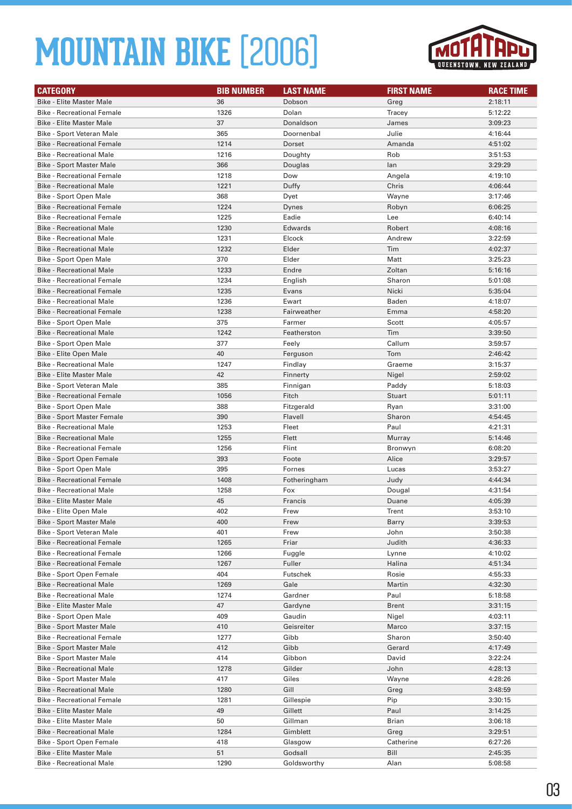

| <b>CATEGORY</b>                                               | <b>BIB NUMBER</b> | <b>LAST NAME</b>     | <b>FIRST NAME</b> | <b>RACE TIME</b>   |
|---------------------------------------------------------------|-------------------|----------------------|-------------------|--------------------|
| <b>Bike - Elite Master Male</b>                               | 36                | Dobson               | Greg              | 2:18:11            |
| <b>Bike - Recreational Female</b>                             | 1326              | Dolan                | Tracey            | 5:12:22            |
| <b>Bike - Elite Master Male</b>                               | 37                | Donaldson            | James             | 3:09:23            |
| Bike - Sport Veteran Male                                     | 365               | Doornenbal           | Julie             | 4:16:44            |
| <b>Bike - Recreational Female</b>                             | 1214              | Dorset               | Amanda            | 4:51:02            |
| <b>Bike - Recreational Male</b>                               | 1216              | Doughty              | Rob               | 3:51:53            |
| <b>Bike - Sport Master Male</b>                               | 366               | Douglas              | lan               | 3:29:29            |
| <b>Bike - Recreational Female</b>                             | 1218              | Dow                  | Angela            | 4:19:10            |
| <b>Bike - Recreational Male</b>                               | 1221              | Duffy                | Chris             | 4:06:44            |
| Bike - Sport Open Male                                        | 368               | Dyet                 | Wayne             | 3:17:46            |
| <b>Bike - Recreational Female</b>                             | 1224              | Dynes                | Robyn             | 6:06:25            |
| <b>Bike - Recreational Female</b>                             | 1225              | Eadie                | Lee               | 6:40:14            |
| <b>Bike - Recreational Male</b>                               | 1230              | Edwards              | Robert            | 4:08:16            |
| <b>Bike - Recreational Male</b>                               | 1231              | Elcock               | Andrew            | 3:22:59            |
| <b>Bike - Recreational Male</b>                               | 1232              | Elder                | Tim               | 4:02:37            |
| Bike - Sport Open Male                                        | 370               | Elder                | Matt              | 3:25:23            |
| <b>Bike - Recreational Male</b>                               | 1233              | Endre                | Zoltan            | 5:16:16            |
| <b>Bike - Recreational Female</b>                             | 1234              | English              | Sharon            | 5:01:08            |
| <b>Bike - Recreational Female</b>                             | 1235              | Evans                | Nicki             | 5:35:04            |
| <b>Bike - Recreational Male</b>                               | 1236              | Ewart                | Baden             | 4:18:07            |
| <b>Bike - Recreational Female</b>                             | 1238              | Fairweather          | Emma              | 4:58:20            |
| Bike - Sport Open Male                                        | 375               | Farmer               | Scott             | 4:05:57            |
| <b>Bike - Recreational Male</b>                               | 1242              | Featherston          | Tim               | 3:39:50            |
| Bike - Sport Open Male                                        | 377               | Feely                | Callum            | 3:59:57            |
| Bike - Elite Open Male                                        | 40                | Ferguson             | Tom               | 2:46:42            |
| <b>Bike - Recreational Male</b>                               | 1247              | Findlay              | Graeme            | 3:15:37            |
| <b>Bike - Elite Master Male</b>                               | 42                | Finnerty             | Nigel             | 2:59:02            |
| Bike - Sport Veteran Male                                     | 385               | Finnigan             | Paddy             | 5:18:03            |
| <b>Bike - Recreational Female</b>                             | 1056              | Fitch                | Stuart            | 5:01:11            |
| Bike - Sport Open Male                                        | 388               | Fitzgerald           | Ryan              | 3:31:00            |
| <b>Bike - Sport Master Female</b>                             | 390               | Flavell              | Sharon            | 4:54:45            |
| <b>Bike - Recreational Male</b>                               | 1253              | Fleet                | Paul              | 4:21:31            |
| <b>Bike - Recreational Male</b>                               | 1255              | Flett                | Murray            | 5:14:46            |
| <b>Bike - Recreational Female</b>                             | 1256              | Flint                | Bronwyn           | 6:08:20            |
| Bike - Sport Open Female                                      | 393               | Foote                | Alice             | 3:29:57            |
| Bike - Sport Open Male                                        | 395               | Fornes               | Lucas             | 3:53:27            |
| <b>Bike - Recreational Female</b>                             | 1408              | Fotheringham         | Judy              | 4:44:34            |
| <b>Bike - Recreational Male</b>                               | 1258              | Fox                  | Dougal            | 4:31:54            |
| <b>Bike - Elite Master Male</b>                               | 45                | Francis              | Duane             | 4:05:39            |
| Bike - Elite Open Male                                        | 402               | Frew                 | Trent             | 3:53:10            |
| <b>Bike - Sport Master Male</b>                               | 400               | Frew                 | Barry             | 3:39:53            |
| Bike - Sport Veteran Male                                     | 401               | Frew                 | John              | 3:50:38            |
| <b>Bike - Recreational Female</b>                             | 1265              | Friar                | Judith            | 4:36:33            |
| <b>Bike - Recreational Female</b>                             | 1266              | Fuggle               | Lynne             | 4:10:02            |
| <b>Bike - Recreational Female</b>                             | 1267              | Fuller               | Halina            | 4:51:34            |
| Bike - Sport Open Female                                      | 404               | Futschek             | Rosie             | 4:55:33            |
| <b>Bike - Recreational Male</b>                               | 1269              | Gale                 | Martin            | 4:32:30            |
| <b>Bike - Recreational Male</b>                               | 1274              | Gardner              | Paul              | 5:18:58            |
| <b>Bike - Elite Master Male</b>                               | 47                | Gardyne              | <b>Brent</b>      | 3:31:15            |
| Bike - Sport Open Male                                        | 409               | Gaudin               | Nigel             | 4:03:11            |
| Bike - Sport Master Male<br><b>Bike - Recreational Female</b> | 410<br>1277       | Geisreiter<br>Gibb   | Marco<br>Sharon   | 3:37:15<br>3:50:40 |
| Bike - Sport Master Male                                      | 412               | Gibb                 | Gerard            |                    |
| Bike - Sport Master Male                                      | 414               | Gibbon               | David             | 4:17:49<br>3:22:24 |
| <b>Bike - Recreational Male</b>                               | 1278              | Gilder               | John              |                    |
| Bike - Sport Master Male                                      | 417               | Giles                | Wayne             | 4:28:13<br>4:28:26 |
| <b>Bike - Recreational Male</b>                               | 1280              | Gill                 | Greg              | 3:48:59            |
| <b>Bike - Recreational Female</b>                             | 1281              |                      |                   | 3:30:15            |
| <b>Bike - Elite Master Male</b>                               | 49                | Gillespie<br>Gillett | Pip<br>Paul       | 3:14:25            |
| <b>Bike - Elite Master Male</b>                               | 50                | Gillman              | Brian             | 3:06:18            |
| <b>Bike - Recreational Male</b>                               | 1284              | Gimblett             | Greg              | 3:29:51            |
| Bike - Sport Open Female                                      | 418               | Glasgow              | Catherine         | 6:27:26            |
| <b>Bike - Elite Master Male</b>                               | 51                | Godsall              | Bill              | 2:45:35            |
| <b>Bike - Recreational Male</b>                               | 1290              | Goldsworthy          | Alan              | 5:08:58            |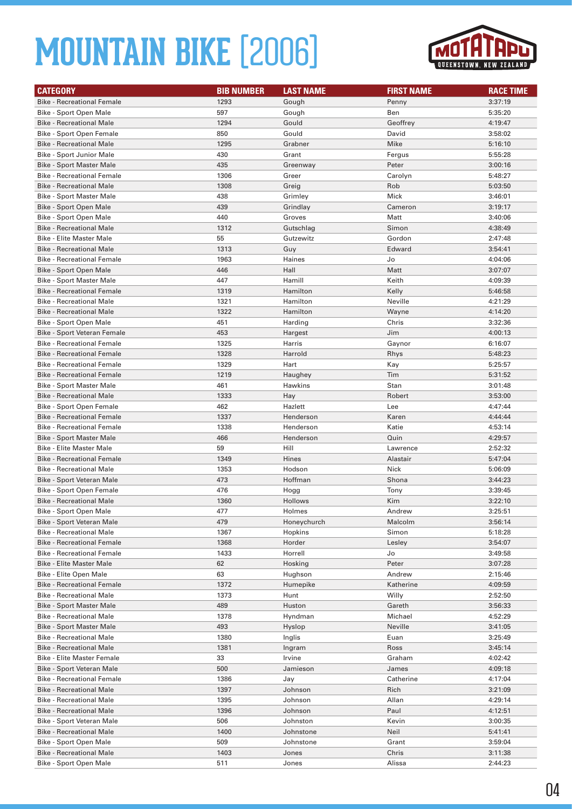

| <b>CATEGORY</b>                    | <b>BIB NUMBER</b> | <b>LAST NAME</b> | <b>FIRST NAME</b> | <b>RACE TIME</b> |
|------------------------------------|-------------------|------------------|-------------------|------------------|
| <b>Bike - Recreational Female</b>  | 1293              | Gough            | Penny             | 3:37:19          |
| Bike - Sport Open Male             | 597               | Gough            | Ben               | 5:35:20          |
| <b>Bike - Recreational Male</b>    | 1294              | Gould            | Geoffrey          | 4:19:47          |
| Bike - Sport Open Female           | 850               | Gould            | David             | 3:58:02          |
| <b>Bike - Recreational Male</b>    | 1295              | Grabner          | Mike              | 5:16:10          |
| <b>Bike - Sport Junior Male</b>    | 430               | Grant            | Fergus            | 5:55:28          |
| <b>Bike - Sport Master Male</b>    | 435               | Greenway         | Peter             | 3:00:16          |
| <b>Bike - Recreational Female</b>  | 1306              | Greer            | Carolyn           | 5:48:27          |
| <b>Bike - Recreational Male</b>    | 1308              | Greig            | Rob               | 5:03:50          |
| <b>Bike - Sport Master Male</b>    | 438               | Grimley          | Mick              | 3:46:01          |
| Bike - Sport Open Male             | 439               | Grindlay         | Cameron           | 3:19:17          |
| Bike - Sport Open Male             | 440               | Groves           | Matt              | 3:40:06          |
| <b>Bike - Recreational Male</b>    | 1312              | Gutschlag        | Simon             | 4:38:49          |
| <b>Bike - Elite Master Male</b>    | 55                | Gutzewitz        | Gordon            | 2:47:48          |
| <b>Bike - Recreational Male</b>    | 1313              | Guy              | Edward            | 3:54:41          |
| <b>Bike - Recreational Female</b>  | 1963              | Haines           | Jo                | 4:04:06          |
| Bike - Sport Open Male             | 446               | Hall             | Matt              | 3:07:07          |
| <b>Bike - Sport Master Male</b>    | 447               | Hamill           | Keith             | 4:09:39          |
| <b>Bike - Recreational Female</b>  | 1319              | Hamilton         | Kelly             | 5:46:58          |
| <b>Bike - Recreational Male</b>    | 1321              | Hamilton         | Neville           | 4:21:29          |
| <b>Bike - Recreational Male</b>    | 1322              | Hamilton         | Wayne             | 4:14:20          |
| Bike - Sport Open Male             | 451               | Harding          | Chris             | 3:32:36          |
| <b>Bike - Sport Veteran Female</b> | 453               | Hargest          | Jim               | 4:00:13          |
| <b>Bike - Recreational Female</b>  | 1325              | Harris           | Gaynor            | 6:16:07          |
| <b>Bike - Recreational Female</b>  | 1328              | Harrold          | Rhys              | 5:48:23          |
| <b>Bike - Recreational Female</b>  | 1329              | Hart             | Kay               | 5:25:57          |
| <b>Bike - Recreational Female</b>  | 1219              | Haughey          | Tim               | 5:31:52          |
| Bike - Sport Master Male           | 461               | Hawkins          | Stan              | 3:01:48          |
| <b>Bike - Recreational Male</b>    | 1333              | Hay              | Robert            | 3:53:00          |
| Bike - Sport Open Female           | 462               | Hazlett          | Lee               | 4:47:44          |
| <b>Bike - Recreational Female</b>  | 1337              | Henderson        | Karen             | 4:44:44          |
| <b>Bike - Recreational Female</b>  | 1338              | Henderson        | Katie             | 4:53:14          |
| <b>Bike - Sport Master Male</b>    | 466               | Henderson        | Quin              | 4:29:57          |
| <b>Bike - Elite Master Male</b>    | 59                | Hill             | Lawrence          | 2:52:32          |
| <b>Bike - Recreational Female</b>  | 1349              | Hines            | Alastair          | 5:47:04          |
| <b>Bike - Recreational Male</b>    | 1353              | Hodson           | Nick              | 5:06:09          |
| Bike - Sport Veteran Male          | 473               | Hoffman          | Shona             | 3:44:23          |
| Bike - Sport Open Female           | 476               | Hogg             | Tony              | 3:39:45          |
| <b>Bike - Recreational Male</b>    | 1360              | Hollows          | Kim               | 3:22:10          |
| Bike - Sport Open Male             | 477               | Holmes           | Andrew            | 3:25:51          |
| Bike - Sport Veteran Male          | 479               | Honeychurch      | Malcolm           | 3:56:14          |
| <b>Bike - Recreational Male</b>    | 1367              | Hopkins          | Simon             | 5:18:28          |
| <b>Bike - Recreational Female</b>  | 1368              | Horder           | Lesley            | 3:54:07          |
| <b>Bike - Recreational Female</b>  | 1433              | Horrell          | Jo                | 3:49:58          |
| <b>Bike - Elite Master Male</b>    | 62                | Hosking          | Peter             | 3:07:28          |
| Bike - Elite Open Male             | 63                | Hughson          | Andrew            | 2:15:46          |
| <b>Bike - Recreational Female</b>  | 1372              | Humepike         | Katherine         | 4:09:59          |
| <b>Bike - Recreational Male</b>    | 1373              | Hunt             | Willy             | 2:52:50          |
| <b>Bike - Sport Master Male</b>    | 489               | Huston           | Gareth            | 3:56:33          |
| <b>Bike - Recreational Male</b>    | 1378              | Hyndman          | Michael           | 4:52:29          |
| <b>Bike - Sport Master Male</b>    | 493               | Hyslop           | Neville           | 3:41:05          |
| <b>Bike - Recreational Male</b>    | 1380              | Inglis           | Euan              | 3:25:49          |
| <b>Bike - Recreational Male</b>    | 1381              | Ingram           | Ross              | 3:45:14          |
| <b>Bike - Elite Master Female</b>  | 33                | Irvine           | Graham            | 4:02:42          |
| Bike - Sport Veteran Male          | 500               | Jamieson         | James             | 4:09:18          |
| <b>Bike - Recreational Female</b>  | 1386              | Jay              | Catherine         | 4:17:04          |
| <b>Bike - Recreational Male</b>    | 1397              | Johnson          | Rich              | 3:21:09          |
| <b>Bike - Recreational Male</b>    | 1395              | Johnson          | Allan             | 4:29:14          |
| <b>Bike - Recreational Male</b>    | 1396              | Johnson          | Paul              | 4:12:51          |
| Bike - Sport Veteran Male          | 506               | Johnston         | Kevin             | 3:00:35          |
| <b>Bike - Recreational Male</b>    | 1400              | Johnstone        | Neil              | 5:41:41          |
| Bike - Sport Open Male             | 509               | Johnstone        | Grant             | 3:59:04          |
| <b>Bike - Recreational Male</b>    | 1403              | Jones            | Chris             | 3:11:38          |
| Bike - Sport Open Male             | 511               | Jones            | Alissa            | 2:44:23          |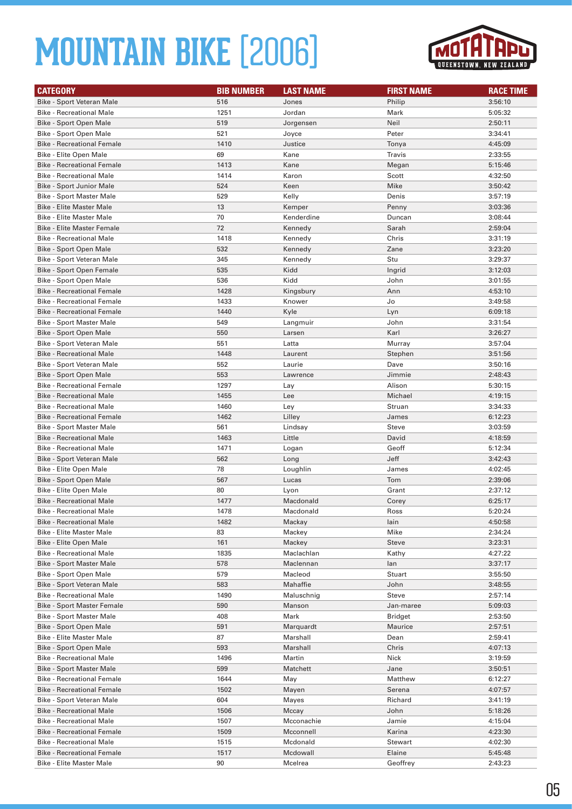

| <b>CATEGORY</b>                                  | <b>BIB NUMBER</b> | <b>LAST NAME</b> | <b>FIRST NAME</b> | <b>RACE TIME</b>   |
|--------------------------------------------------|-------------------|------------------|-------------------|--------------------|
| Bike - Sport Veteran Male                        | 516               | Jones            | Philip            | 3:56:10            |
| <b>Bike - Recreational Male</b>                  | 1251              | Jordan           | Mark              | 5:05:32            |
| Bike - Sport Open Male                           | 519               | Jorgensen        | Neil              | 2:50:11            |
| Bike - Sport Open Male                           | 521               | Joyce            | Peter             | 3:34:41            |
| <b>Bike - Recreational Female</b>                | 1410              | Justice          | Tonya             | 4:45:09            |
| Bike - Elite Open Male                           | 69                | Kane             | Travis            | 2:33:55            |
| <b>Bike - Recreational Female</b>                | 1413              | Kane             | Megan             | 5:15:46            |
| <b>Bike - Recreational Male</b>                  | 1414              | Karon            | Scott             | 4:32:50            |
| <b>Bike - Sport Junior Male</b>                  | 524               | Keen             | Mike              | 3:50:42            |
| <b>Bike - Sport Master Male</b>                  | 529               | Kelly            | Denis             | 3:57:19            |
| <b>Bike - Elite Master Male</b>                  | 13                | Kemper           | Penny             | 3:03:36            |
| <b>Bike - Elite Master Male</b>                  | 70                | Kenderdine       | Duncan            | 3:08:44            |
| <b>Bike - Elite Master Female</b>                | 72                | Kennedy          | Sarah             | 2:59:04            |
| <b>Bike - Recreational Male</b>                  | 1418              | Kennedy          | Chris             | 3:31:19            |
| Bike - Sport Open Male                           | 532               | Kennedy          | Zane              | 3:23:20            |
| Bike - Sport Veteran Male                        | 345               | Kennedy          | Stu               | 3:29:37            |
| Bike - Sport Open Female                         | 535               | Kidd             | Ingrid            | 3:12:03            |
| Bike - Sport Open Male                           | 536               | Kidd             | John              | 3:01:55            |
| <b>Bike - Recreational Female</b>                | 1428              | Kingsbury        | Ann               | 4:53:10            |
| <b>Bike - Recreational Female</b>                | 1433              | Knower           | Jo                | 3:49:58            |
| <b>Bike - Recreational Female</b>                | 1440              | Kyle             | Lyn               | 6:09:18            |
| Bike - Sport Master Male                         | 549               | Langmuir         | John              | 3:31:54            |
| Bike - Sport Open Male                           | 550               | Larsen           | Karl              | 3:26:27            |
| Bike - Sport Veteran Male                        | 551               | Latta            | Murray            | 3:57:04            |
| <b>Bike - Recreational Male</b>                  | 1448              | Laurent          | Stephen           | 3:51:56            |
| Bike - Sport Veteran Male                        | 552               | Laurie           | Dave              | 3:50:16            |
| Bike - Sport Open Male                           | 553               | Lawrence         | Jimmie            | 2:48:43            |
| <b>Bike - Recreational Female</b>                | 1297              | Lay              | Alison            | 5:30:15            |
| <b>Bike - Recreational Male</b>                  | 1455              | Lee              | Michael           | 4:19:15            |
| <b>Bike - Recreational Male</b>                  | 1460              | Ley              | Struan            | 3:34:33            |
| <b>Bike - Recreational Female</b>                | 1462              | Lilley           | James             | 6:12:23            |
| <b>Bike - Sport Master Male</b>                  | 561               | Lindsay          | Steve             | 3:03:59            |
| <b>Bike - Recreational Male</b>                  | 1463              | Little           | David             | 4:18:59            |
| <b>Bike - Recreational Male</b>                  | 1471              | Logan            | Geoff<br>Jeff     | 5:12:34            |
| Bike - Sport Veteran Male                        | 562               | Long             |                   | 3:42:43<br>4:02:45 |
| Bike - Elite Open Male<br>Bike - Sport Open Male | 78<br>567         | Loughlin         | James<br>Tom      | 2:39:06            |
| Bike - Elite Open Male                           | 80                | Lucas<br>Lyon    | Grant             | 2:37:12            |
| <b>Bike - Recreational Male</b>                  | 1477              | Macdonald        | Corey             | 6:25:17            |
| <b>Bike - Recreational Male</b>                  | 1478              | Macdonald        | Ross              | 5:20:24            |
| <b>Bike - Recreational Male</b>                  | 1482              | Mackay           | lain              | 4:50:58            |
| <b>Bike - Elite Master Male</b>                  | 83                | Mackey           | Mike              | 2:34:24            |
| Bike - Elite Open Male                           | 161               | Mackey           | <b>Steve</b>      | 3:23:31            |
| <b>Bike - Recreational Male</b>                  | 1835              | Maclachlan       | Kathy             | 4:27:22            |
| <b>Bike - Sport Master Male</b>                  | 578               | Maclennan        | lan               | 3:37:17            |
| Bike - Sport Open Male                           | 579               | Macleod          | Stuart            | 3:55:50            |
| Bike - Sport Veteran Male                        | 583               | Mahaffie         | John              | 3:48:55            |
| <b>Bike - Recreational Male</b>                  | 1490              | Maluschnig       | Steve             | 2:57:14            |
| <b>Bike - Sport Master Female</b>                | 590               | Manson           | Jan-maree         | 5:09:03            |
| Bike - Sport Master Male                         | 408               | Mark             | Bridget           | 2:53:50            |
| <b>Bike - Sport Open Male</b>                    | 591               | Marquardt        | Maurice           | 2:57:51            |
| <b>Bike - Elite Master Male</b>                  | 87                | Marshall         | Dean              | 2:59:41            |
| Bike - Sport Open Male                           | 593               | Marshall         | Chris             | 4:07:13            |
| <b>Bike - Recreational Male</b>                  | 1496              | Martin           | Nick              | 3:19:59            |
| <b>Bike - Sport Master Male</b>                  | 599               | Matchett         | Jane              | 3:50:51            |
| <b>Bike - Recreational Female</b>                | 1644              | May              | Matthew           | 6:12:27            |
| <b>Bike - Recreational Female</b>                | 1502              | Mayen            | Serena            | 4:07:57            |
| Bike - Sport Veteran Male                        | 604               | Mayes            | Richard           | 3:41:19            |
| <b>Bike - Recreational Male</b>                  | 1506              | Mccay            | John              | 5:18:26            |
| <b>Bike - Recreational Male</b>                  | 1507              | Mcconachie       | Jamie             | 4:15:04            |
| <b>Bike - Recreational Female</b>                | 1509              | Mcconnell        | Karina            | 4:23:30            |
| <b>Bike - Recreational Male</b>                  | 1515              | Mcdonald         | Stewart           | 4:02:30            |
| <b>Bike - Recreational Female</b>                | 1517              | Mcdowall         | Elaine            | 5:45:48            |
| <b>Bike - Elite Master Male</b>                  | 90                | Mcelrea          | Geoffrey          | 2:43:23            |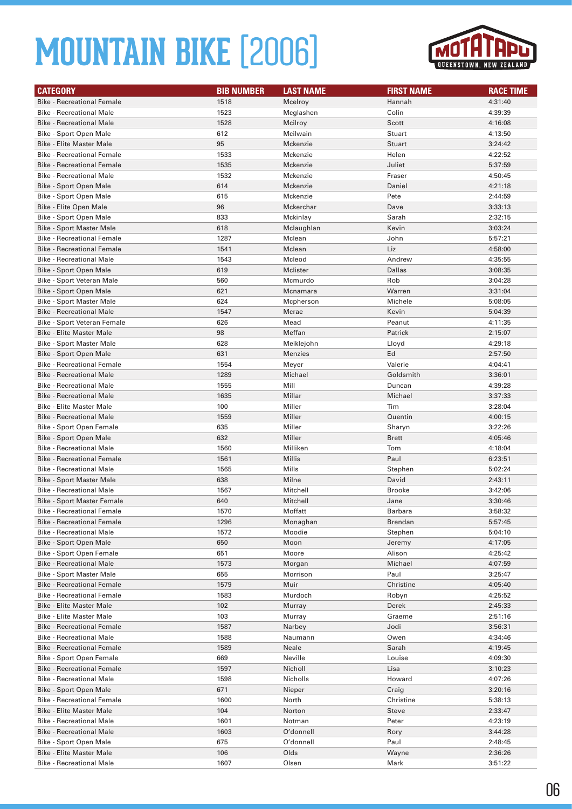

| <b>CATEGORY</b>                   | <b>BIB NUMBER</b> | <b>LAST NAME</b> | <b>FIRST NAME</b> | <b>RACE TIME</b> |
|-----------------------------------|-------------------|------------------|-------------------|------------------|
| <b>Bike - Recreational Female</b> | 1518              | Mcelroy          | Hannah            | 4:31:40          |
| <b>Bike - Recreational Male</b>   | 1523              | Mcglashen        | Colin             | 4:39:39          |
| <b>Bike - Recreational Male</b>   | 1528              | Mcilroy          | Scott             | 4:16:08          |
| Bike - Sport Open Male            | 612               | Mcilwain         | Stuart            | 4:13:50          |
| <b>Bike - Elite Master Male</b>   | 95                | Mckenzie         | Stuart            | 3:24:42          |
| <b>Bike - Recreational Female</b> | 1533              | Mckenzie         | Helen             | 4:22:52          |
| <b>Bike - Recreational Female</b> | 1535              | Mckenzie         | Juliet            | 5:37:59          |
| <b>Bike - Recreational Male</b>   | 1532              | Mckenzie         | Fraser            | 4:50:45          |
| Bike - Sport Open Male            | 614               | Mckenzie         | Daniel            | 4:21:18          |
| Bike - Sport Open Male            | 615               | Mckenzie         | Pete              | 2:44:59          |
| <b>Bike - Elite Open Male</b>     | 96                | Mckerchar        | Dave              | 3:33:13          |
| Bike - Sport Open Male            | 833               | Mckinlay         | Sarah             | 2:32:15          |
| <b>Bike - Sport Master Male</b>   | 618               | Mclaughlan       | Kevin             | 3:03:24          |
| <b>Bike - Recreational Female</b> | 1287              | Mclean           | John              | 5:57:21          |
| <b>Bike - Recreational Female</b> | 1541              | Mclean           | Liz               | 4:58:00          |
| <b>Bike - Recreational Male</b>   | 1543              | Mcleod           | Andrew            | 4:35:55          |
| <b>Bike - Sport Open Male</b>     | 619               | Mclister         | Dallas            | 3:08:35          |
| Bike - Sport Veteran Male         | 560               | Mcmurdo          | Rob               | 3:04:28          |
| <b>Bike - Sport Open Male</b>     | 621               | Mcnamara         | Warren            | 3:31:04          |
| Bike - Sport Master Male          | 624               | Mcpherson        | Michele           | 5:08:05          |
| <b>Bike - Recreational Male</b>   | 1547              | Mcrae            | Kevin             | 5:04:39          |
| Bike - Sport Veteran Female       | 626               | Mead             | Peanut            | 4:11:35          |
| <b>Bike - Elite Master Male</b>   | 98                | Meffan           | Patrick           | 2:15:07          |
| <b>Bike - Sport Master Male</b>   | 628               | Meiklejohn       | Lloyd             | 4:29:18          |
| Bike - Sport Open Male            | 631               | <b>Menzies</b>   | Ed                | 2:57:50          |
| <b>Bike - Recreational Female</b> | 1554              | Meyer            | Valerie           | 4:04:41          |
| <b>Bike - Recreational Male</b>   | 1289              | Michael          | Goldsmith         | 3:36:01          |
| <b>Bike - Recreational Male</b>   | 1555              | Mill             | Duncan            | 4:39:28          |
| <b>Bike - Recreational Male</b>   | 1635              | Millar           | Michael           | 3:37:33          |
| <b>Bike - Elite Master Male</b>   | 100               | Miller           | Tim               | 3:28:04          |
| <b>Bike - Recreational Male</b>   | 1559              | Miller           | Quentin           | 4:00:15          |
| Bike - Sport Open Female          | 635               | Miller           | Sharyn            | 3:22:26          |
| Bike - Sport Open Male            | 632               | Miller           | <b>Brett</b>      | 4:05:46          |
| <b>Bike - Recreational Male</b>   | 1560              | Milliken         | Tom               | 4:18:04          |
| <b>Bike - Recreational Female</b> | 1561              | Millis           | Paul              | 6:23:51          |
| <b>Bike - Recreational Male</b>   | 1565              | Mills            | Stephen           | 5:02:24          |
| <b>Bike - Sport Master Male</b>   | 638               | Milne            | David             | 2:43:11          |
| <b>Bike - Recreational Male</b>   | 1567              | Mitchell         | <b>Brooke</b>     | 3:42:06          |
| <b>Bike - Sport Master Female</b> | 640               | Mitchell         | Jane              | 3:30:46          |
| Bike - Recreational Female        | 1570              | Moffatt          | Barbara           | 3:58:32          |
| <b>Bike - Recreational Female</b> | 1296              | Monaghan         | Brendan           | 5:57:45          |
| <b>Bike - Recreational Male</b>   | 1572              | Moodie           | Stephen           | 5:04:10          |
| Bike - Sport Open Male            | 650               | Moon             | Jeremy            | 4:17:05          |
| Bike - Sport Open Female          | 651               | Moore            | Alison            | 4:25:42          |
| <b>Bike - Recreational Male</b>   | 1573              | Morgan           | Michael           | 4:07:59          |
| <b>Bike - Sport Master Male</b>   | 655               | Morrison         | Paul              | 3:25:47          |
| <b>Bike - Recreational Female</b> | 1579              | Muir             | Christine         | 4:05:40          |
| <b>Bike - Recreational Female</b> | 1583              | Murdoch          | Robyn             | 4:25:52          |
| <b>Bike - Elite Master Male</b>   | 102               | Murray           | Derek             | 2:45:33          |
| <b>Bike - Elite Master Male</b>   | 103               | Murray           | Graeme            | 2:51:16          |
| <b>Bike - Recreational Female</b> | 1587              | Narbey           | Jodi              | 3:56:31          |
| <b>Bike - Recreational Male</b>   | 1588              | Naumann          | Owen              | 4:34:46          |
| <b>Bike - Recreational Female</b> | 1589              | Neale            | Sarah             | 4:19:45          |
| Bike - Sport Open Female          | 669               | Neville          | Louise            | 4:09:30          |
| <b>Bike - Recreational Female</b> | 1597              | Nicholl          | Lisa              | 3:10:23          |
| <b>Bike - Recreational Male</b>   | 1598              | Nicholls         | Howard            | 4:07:26          |
| Bike - Sport Open Male            | 671               | Nieper           | Craig             | 3:20:16          |
| <b>Bike - Recreational Female</b> | 1600              | North            | Christine         | 5:38:13          |
| <b>Bike - Elite Master Male</b>   | 104               | Norton           | <b>Steve</b>      | 2:33:47          |
| <b>Bike - Recreational Male</b>   | 1601              | Notman           | Peter             | 4:23:19          |
| <b>Bike - Recreational Male</b>   | 1603              | O'donnell        | Rory              | 3:44:28          |
| Bike - Sport Open Male            | 675               | O'donnell        | Paul              | 2:48:45          |
| <b>Bike - Elite Master Male</b>   | 106               | Olds             | Wayne             | 2:36:26          |
| <b>Bike - Recreational Male</b>   | 1607              | Olsen            | Mark              | 3:51:22          |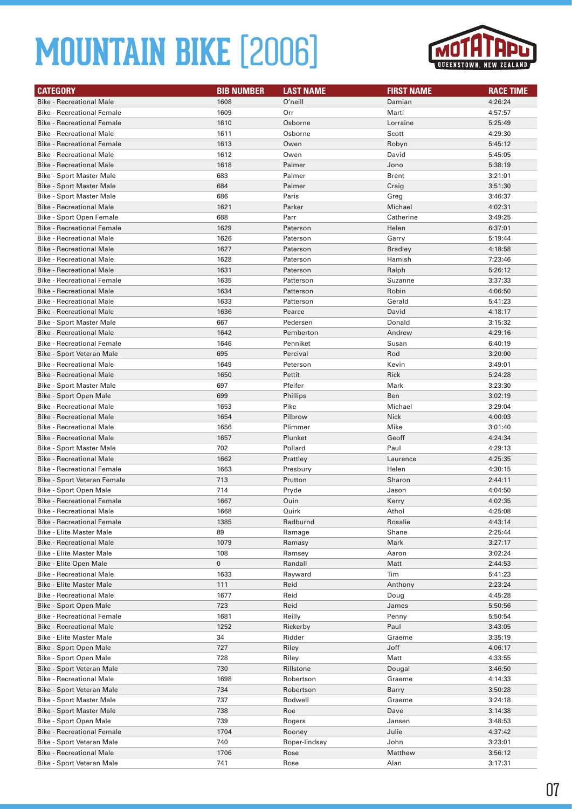

| <b>CATEGORY</b>                   | <b>BIB NUMBER</b> | <b>LAST NAME</b> | <b>FIRST NAME</b> | <b>RACE TIME</b> |
|-----------------------------------|-------------------|------------------|-------------------|------------------|
| <b>Bike - Recreational Male</b>   | 1608              | O'neill          | Damian            | 4:26:24          |
| <b>Bike - Recreational Female</b> | 1609              | Orr              | Marti             | 4:57:57          |
| <b>Bike - Recreational Female</b> | 1610              | Osborne          | Lorraine          | 5:25:49          |
| <b>Bike - Recreational Male</b>   | 1611              | Osborne          | Scott             | 4:29:30          |
| <b>Bike - Recreational Female</b> | 1613              | Owen             | Robyn             | 5:45:12          |
| <b>Bike - Recreational Male</b>   | 1612              | Owen             | David             | 5:45:05          |
| <b>Bike - Recreational Male</b>   | 1618              | Palmer           | Jono              | 5:38:19          |
| <b>Bike - Sport Master Male</b>   | 683               | Palmer           | <b>Brent</b>      | 3:21:01          |
| <b>Bike - Sport Master Male</b>   | 684               | Palmer           | Craig             | 3:51:30          |
| Bike - Sport Master Male          | 686               | Paris            | Greg              | 3:46:37          |
| <b>Bike - Recreational Male</b>   | 1621              | Parker           | Michael           | 4:02:31          |
| <b>Bike - Sport Open Female</b>   | 688               | Parr             | Catherine         | 3:49:25          |
| <b>Bike - Recreational Female</b> | 1629              | Paterson         | Helen             | 6:37:01          |
| <b>Bike - Recreational Male</b>   | 1626              | Paterson         | Garry             | 5:19:44          |
| <b>Bike - Recreational Male</b>   | 1627              | Paterson         | <b>Bradley</b>    | 4:18:58          |
| <b>Bike - Recreational Male</b>   | 1628              | Paterson         | Hamish            | 7:23:46          |
| <b>Bike - Recreational Male</b>   | 1631              | Paterson         | Ralph             | 5:26:12          |
| <b>Bike - Recreational Female</b> | 1635              | Patterson        | Suzanne           | 3:37:33          |
| <b>Bike - Recreational Male</b>   | 1634              | Patterson        | Robin             | 4:06:50          |
| <b>Bike - Recreational Male</b>   | 1633              | Patterson        | Gerald            | 5:41:23          |
| <b>Bike - Recreational Male</b>   | 1636              | Pearce           | David             | 4:18:17          |
| <b>Bike - Sport Master Male</b>   | 667               | Pedersen         | Donald            | 3:15:32          |
| <b>Bike - Recreational Male</b>   | 1642              | Pemberton        | Andrew            | 4:29:16          |
| <b>Bike - Recreational Female</b> | 1646              | Penniket         | Susan             | 6:40:19          |
| <b>Bike - Sport Veteran Male</b>  | 695               | Percival         | Rod               | 3:20:00          |
| <b>Bike - Recreational Male</b>   | 1649              | Peterson         | Kevin             | 3:49:01          |
| <b>Bike - Recreational Male</b>   | 1650              | Pettit           | Rick              | 5:24:28          |
| Bike - Sport Master Male          | 697               | Pfeifer          | Mark              | 3:23:30          |
| Bike - Sport Open Male            | 699               | Phillips         | Ben               | 3:02:19          |
| <b>Bike - Recreational Male</b>   | 1653              | Pike             | Michael           | 3:29:04          |
| <b>Bike - Recreational Male</b>   | 1654              | Pilbrow          | <b>Nick</b>       | 4:00:03          |
| <b>Bike - Recreational Male</b>   | 1656              | Plimmer          | Mike              | 3:01:40          |
| <b>Bike - Recreational Male</b>   | 1657              | Plunket          | Geoff             | 4:24:34          |
| Bike - Sport Master Male          | 702               | Pollard          | Paul              | 4:29:13          |
| <b>Bike - Recreational Male</b>   | 1662              | Prattley         | Laurence          | 4:25:35          |
| <b>Bike - Recreational Female</b> | 1663              | Presbury         | Helen             | 4:30:15          |
| Bike - Sport Veteran Female       | 713               | Prutton          | Sharon            | 2:44:11          |
| Bike - Sport Open Male            | 714               | Pryde            | Jason             | 4:04:50          |
| <b>Bike - Recreational Female</b> | 1667              | Quin             | Kerry             | 4:02:35          |
| Bike - Recreational Male          | 1668              | Quirk            | Athol             | 4:25:08          |
| <b>Bike - Recreational Female</b> | 1385              | Radburnd         | Rosalie           | 4:43:14          |
| <b>Bike - Elite Master Male</b>   | 89                | Ramage           | Shane             | 2:25:44          |
| <b>Bike - Recreational Male</b>   | 1079              | Ramasy           | Mark              | 3:27:17          |
| <b>Bike - Elite Master Male</b>   | 108               | Ramsey           | Aaron             | 3:02:24          |
| Bike - Elite Open Male            | 0                 | Randall          | Matt              | 2:44:53          |
| <b>Bike - Recreational Male</b>   | 1633              | Rayward          | Tim               | 5:41:23          |
| <b>Bike - Elite Master Male</b>   | 111               | Reid             | Anthony           | 2:23:24          |
| <b>Bike - Recreational Male</b>   | 1677              | Reid             | Doug              | 4:45:28          |
| Bike - Sport Open Male            | 723               | Reid             | James             | 5:50:56          |
| <b>Bike - Recreational Female</b> | 1681              | Reilly           | Penny             | 5:50:54          |
| <b>Bike - Recreational Male</b>   | 1252              | Rickerby         | Paul              | 3:43:05          |
| <b>Bike - Elite Master Male</b>   | 34                | Ridder           | Graeme            | 3:35:19          |
| Bike - Sport Open Male            | 727               | Riley            | Joff              | 4:06:17          |
| Bike - Sport Open Male            | 728               | Riley            | Matt              | 4:33:55          |
| Bike - Sport Veteran Male         | 730               | Rillstone        | Dougal            | 3:46:50          |
| <b>Bike - Recreational Male</b>   | 1698              | Robertson        | Graeme            | 4:14:33          |
| Bike - Sport Veteran Male         | 734               | Robertson        | Barry             | 3:50:28          |
| <b>Bike - Sport Master Male</b>   | 737               | Rodwell          | Graeme            | 3:24:18          |
| <b>Bike - Sport Master Male</b>   | 738               | Roe              | Dave              | 3:14:38          |
| Bike - Sport Open Male            | 739               | Rogers           | Jansen            | 3:48:53          |
| <b>Bike - Recreational Female</b> | 1704              | Rooney           | Julie             | 4:37:42          |
| Bike - Sport Veteran Male         | 740               | Roper-lindsay    | John              | 3:23:01          |
| <b>Bike - Recreational Male</b>   | 1706              | Rose             | Matthew           | 3:56:12          |
| Bike - Sport Veteran Male         | 741               | Rose             | Alan              | 3:17:31          |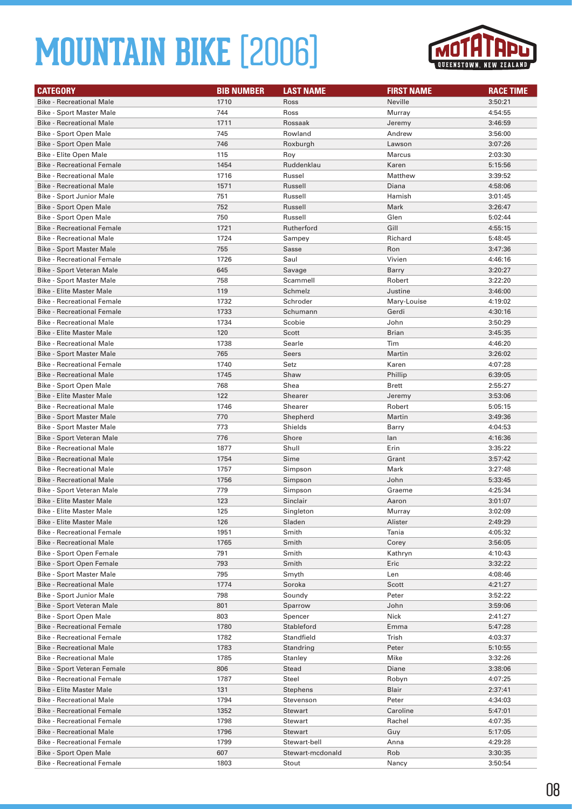

| <b>CATEGORY</b>                   | <b>BIB NUMBER</b> | <b>LAST NAME</b> | <b>FIRST NAME</b> | <b>RACE TIME</b> |
|-----------------------------------|-------------------|------------------|-------------------|------------------|
| <b>Bike - Recreational Male</b>   | 1710              | Ross             | Neville           | 3:50:21          |
| <b>Bike - Sport Master Male</b>   | 744               | Ross             | Murray            | 4:54:55          |
| <b>Bike - Recreational Male</b>   | 1711              | Rossaak          | Jeremy            | 3:46:59          |
| Bike - Sport Open Male            | 745               | Rowland          | Andrew            | 3:56:00          |
| Bike - Sport Open Male            | 746               | Roxburgh         | Lawson            | 3:07:26          |
| Bike - Elite Open Male            | 115               | Roy              | Marcus            | 2:03:30          |
| <b>Bike - Recreational Female</b> | 1454              | Ruddenklau       | Karen             | 5:15:56          |
| <b>Bike - Recreational Male</b>   | 1716              | Russel           | Matthew           | 3:39:52          |
| <b>Bike - Recreational Male</b>   | 1571              | Russell          | Diana             | 4:58:06          |
| Bike - Sport Junior Male          | 751               | Russell          | Hamish            | 3:01:45          |
| Bike - Sport Open Male            | 752               | Russell          | Mark              | 3:26:47          |
| Bike - Sport Open Male            | 750               | Russell          | Glen              | 5:02:44          |
| <b>Bike - Recreational Female</b> | 1721              | Rutherford       | Gill              | 4:55:15          |
| <b>Bike - Recreational Male</b>   | 1724              | Sampey           | Richard           | 5:48:45          |
| <b>Bike - Sport Master Male</b>   | 755               | Sasse            | Ron               | 3:47:36          |
| <b>Bike - Recreational Female</b> | 1726              | Saul             | Vivien            | 4:46:16          |
| Bike - Sport Veteran Male         | 645               | Savage           | Barry             | 3:20:27          |
| <b>Bike - Sport Master Male</b>   | 758               | Scammell         | Robert            | 3:22:20          |
| <b>Bike - Elite Master Male</b>   | 119               | Schmelz          | Justine           | 3:46:00          |
| <b>Bike - Recreational Female</b> | 1732              | Schroder         | Mary-Louise       | 4:19:02          |
| <b>Bike - Recreational Female</b> | 1733              | Schumann         | Gerdi             | 4:30:16          |
| <b>Bike - Recreational Male</b>   | 1734              | Scobie           | John              | 3:50:29          |
| <b>Bike - Elite Master Male</b>   | 120               | Scott            | <b>Brian</b>      | 3:45:35          |
| <b>Bike - Recreational Male</b>   | 1738              | Searle           | Tim               | 4:46:20          |
| <b>Bike - Sport Master Male</b>   | 765               | Seers            | Martin            | 3:26:02          |
| <b>Bike - Recreational Female</b> | 1740              | Setz             | Karen             | 4:07:28          |
| <b>Bike - Recreational Male</b>   | 1745              | Shaw             | Phillip           | 6:39:05          |
| Bike - Sport Open Male            | 768               | Shea             | <b>Brett</b>      | 2:55:27          |
| <b>Bike - Elite Master Male</b>   | 122               | Shearer          | Jeremy            | 3:53:06          |
| <b>Bike - Recreational Male</b>   | 1746              | Shearer          | Robert            | 5:05:15          |
| <b>Bike - Sport Master Male</b>   | 770               | Shepherd         | Martin            | 3:49:36          |
| <b>Bike - Sport Master Male</b>   | 773               | Shields          | Barry             | 4:04:53          |
| Bike - Sport Veteran Male         | 776               | Shore            | lan               | 4:16:36          |
| <b>Bike - Recreational Male</b>   | 1877              | Shull            | Erin              | 3:35:22          |
| <b>Bike - Recreational Male</b>   | 1754              | Sime             | Grant             | 3:57:42          |
| <b>Bike - Recreational Male</b>   | 1757              | Simpson          | Mark              | 3:27:48          |
| <b>Bike - Recreational Male</b>   | 1756              | Simpson          | John              | 5:33:45          |
| Bike - Sport Veteran Male         | 779               | Simpson          | Graeme            | 4:25:34          |
| <b>Bike - Elite Master Male</b>   | 123               | Sinclair         | Aaron             | 3:01:07          |
| Bike - Elite Master Male          | 125               | Singleton        | Murray            | 3:02:09          |
| <b>Bike - Elite Master Male</b>   | 126               | Sladen           | Alister           | 2:49:29          |
| <b>Bike - Recreational Female</b> | 1951              | Smith            | Tania             | 4:05:32          |
| <b>Bike - Recreational Male</b>   | 1765              | Smith            | Corey             | 3:56:05          |
| Bike - Sport Open Female          | 791               | Smith            | Kathryn           | 4:10:43          |
| Bike - Sport Open Female          | 793               | Smith            | Eric              | 3:32:22          |
| Bike - Sport Master Male          | 795               | Smyth            | Len               | 4:08:46          |
| <b>Bike - Recreational Male</b>   | 1774              | Soroka           | Scott             | 4:21:27          |
| Bike - Sport Junior Male          | 798               | Soundy           | Peter             | 3:52:22          |
| Bike - Sport Veteran Male         | 801               | Sparrow          | John              | 3:59:06          |
| Bike - Sport Open Male            | 803               | Spencer          | Nick              | 2:41:27          |
| <b>Bike - Recreational Female</b> | 1780              | Stableford       | Emma              | 5:47:28          |
| <b>Bike - Recreational Female</b> | 1782              | Standfield       | Trish             | 4:03:37          |
| <b>Bike - Recreational Male</b>   | 1783              | Standring        | Peter             | 5:10:55          |
| <b>Bike - Recreational Male</b>   | 1785              | Stanley          | Mike              | 3:32:26          |
| Bike - Sport Veteran Female       | 806               | Stead            | Diane             | 3:38:06          |
| <b>Bike - Recreational Female</b> | 1787              | <b>Steel</b>     | Robyn             | 4:07:25          |
| <b>Bike - Elite Master Male</b>   | 131               | Stephens         | <b>Blair</b>      | 2:37:41          |
| <b>Bike - Recreational Male</b>   | 1794              | Stevenson        | Peter             | 4:34:03          |
| <b>Bike - Recreational Female</b> | 1352              | Stewart          | Caroline          | 5:47:01          |
| <b>Bike - Recreational Female</b> | 1798              | Stewart          | Rachel            | 4:07:35          |
| <b>Bike - Recreational Male</b>   | 1796              | Stewart          | Guy               | 5:17:05          |
| <b>Bike - Recreational Female</b> | 1799              | Stewart-bell     | Anna              | 4:29:28          |
| Bike - Sport Open Male            | 607               | Stewart-mcdonald | Rob               | 3:30:35          |
| <b>Bike - Recreational Female</b> | 1803              | Stout            | Nancy             | 3:50:54          |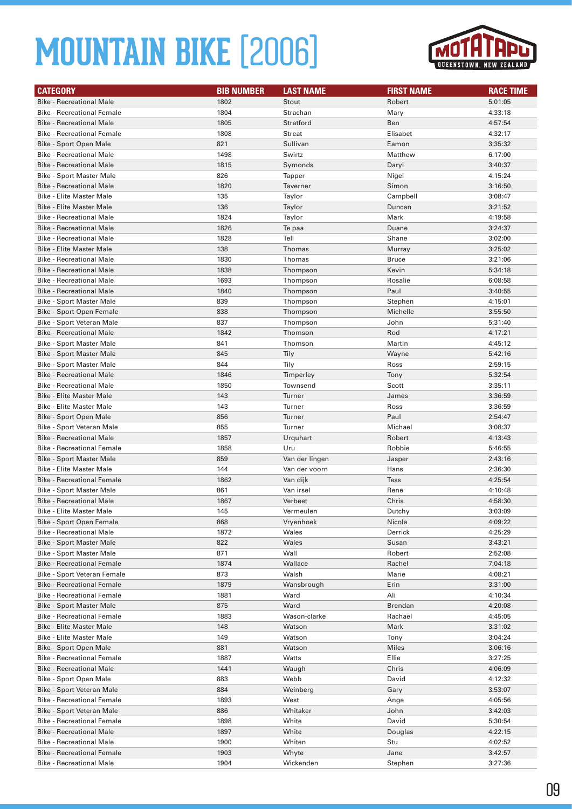

| <b>CATEGORY</b>                                                      | <b>BIB NUMBER</b> | <b>LAST NAME</b>       | <b>FIRST NAME</b> | <b>RACE TIME</b>   |
|----------------------------------------------------------------------|-------------------|------------------------|-------------------|--------------------|
| <b>Bike - Recreational Male</b>                                      | 1802              | Stout                  | Robert            | 5:01:05            |
| <b>Bike - Recreational Female</b>                                    | 1804              | Strachan               | Mary              | 4:33:18            |
| <b>Bike - Recreational Male</b>                                      | 1805              | Stratford              | Ben               | 4:57:54            |
| <b>Bike - Recreational Female</b>                                    | 1808              | <b>Streat</b>          | Elisabet          | 4:32:17            |
| <b>Bike - Sport Open Male</b>                                        | 821               | Sullivan               | Eamon             | 3:35:32            |
| <b>Bike - Recreational Male</b>                                      | 1498              | Swirtz                 | Matthew           | 6:17:00            |
| <b>Bike - Recreational Male</b>                                      | 1815              | Symonds                | Daryl             | 3:40:37            |
| <b>Bike - Sport Master Male</b>                                      | 826               | Tapper                 | Nigel             | 4:15:24            |
| <b>Bike - Recreational Male</b>                                      | 1820              | Taverner               | Simon             | 3:16:50            |
| <b>Bike - Elite Master Male</b>                                      | 135               | Taylor                 | Campbell          | 3:08:47            |
| <b>Bike - Elite Master Male</b>                                      | 136               | Taylor                 | Duncan            | 3:21:52            |
| <b>Bike - Recreational Male</b>                                      | 1824              | Taylor                 | Mark              | 4:19:58            |
| <b>Bike - Recreational Male</b>                                      | 1826              | Te paa                 | Duane             | 3:24:37            |
| <b>Bike - Recreational Male</b>                                      | 1828              | Tell                   | Shane             | 3:02:00            |
| <b>Bike - Elite Master Male</b>                                      | 138               | Thomas                 | Murray            | 3:25:02            |
| <b>Bike - Recreational Male</b>                                      | 1830              | Thomas                 | <b>Bruce</b>      | 3:21:06            |
| <b>Bike - Recreational Male</b>                                      | 1838              | Thompson               | Kevin             | 5:34:18            |
| <b>Bike - Recreational Male</b>                                      | 1693              | Thompson               | Rosalie           | 6:08:58            |
| <b>Bike - Recreational Male</b>                                      | 1840              | Thompson               | Paul              | 3:40:55            |
| <b>Bike - Sport Master Male</b>                                      | 839               | Thompson               | Stephen           | 4:15:01            |
| Bike - Sport Open Female                                             | 838               | Thompson               | Michelle          | 3:55:50            |
| Bike - Sport Veteran Male                                            | 837               | Thompson               | John              | 5:31:40            |
| <b>Bike - Recreational Male</b>                                      | 1842              | Thomson                | Rod               | 4:17:21            |
| <b>Bike - Sport Master Male</b>                                      | 841               | Thomson                | Martin            | 4:45:12            |
| <b>Bike - Sport Master Male</b>                                      | 845               | Tily                   | Wayne             | 5:42:16            |
| <b>Bike - Sport Master Male</b>                                      | 844               | Tily                   | Ross              | 2:59:15            |
| <b>Bike - Recreational Male</b>                                      | 1846              | Timperley              | Tony              | 5:32:54            |
| <b>Bike - Recreational Male</b>                                      | 1850              | Townsend               | Scott             | 3:35:11            |
| <b>Bike - Elite Master Male</b>                                      | 143               | Turner                 | James             | 3:36:59            |
| <b>Bike - Elite Master Male</b>                                      | 143               | Turner                 | Ross              | 3:36:59            |
| Bike - Sport Open Male                                               | 856               | Turner                 | Paul              | 2:54:47            |
| Bike - Sport Veteran Male                                            | 855               | Turner                 | Michael           | 3:08:37            |
| <b>Bike - Recreational Male</b>                                      | 1857              | Urquhart               | Robert            | 4:13:43            |
| <b>Bike - Recreational Female</b>                                    | 1858              | Uru                    | Robbie            | 5:46:55            |
| <b>Bike - Sport Master Male</b>                                      | 859               | Van der lingen         | Jasper            | 2:43:16            |
| <b>Bike - Elite Master Male</b>                                      | 144               | Van der voorn          | Hans              | 2:36:30            |
| <b>Bike - Recreational Female</b>                                    | 1862              | Van dijk               | Tess              | 4:25:54            |
| <b>Bike - Sport Master Male</b>                                      | 861               | Van irsel              | Rene              | 4:10:48            |
| <b>Bike - Recreational Male</b>                                      | 1867              | Verbeet                | Chris             | 4:58:30            |
| Bike - Elite Master Male                                             | 145               | Vermeulen              | Dutchy            | 3:03:09            |
| Bike - Sport Open Female                                             | 868               | Vryenhoek              | Nicola            | 4:09:22            |
| <b>Bike - Recreational Male</b>                                      | 1872              | Wales                  | Derrick           | 4:25:29            |
| <b>Bike - Sport Master Male</b>                                      | 822               | Wales                  | Susan             | 3:43:21            |
| <b>Bike - Sport Master Male</b>                                      | 871               | Wall                   | Robert            | 2:52:08            |
| <b>Bike - Recreational Female</b>                                    | 1874              | Wallace                | Rachel            | 7:04:18            |
| Bike - Sport Veteran Female                                          | 873               | Walsh                  | Marie             | 4:08:21            |
| <b>Bike - Recreational Female</b>                                    | 1879              | Wansbrough             | Erin              | 3:31:00            |
| <b>Bike - Recreational Female</b>                                    | 1881              | Ward                   | Ali               | 4:10:34            |
| <b>Bike - Sport Master Male</b><br><b>Bike - Recreational Female</b> | 875               | Ward                   | <b>Brendan</b>    | 4:20:08            |
|                                                                      | 1883              | Wason-clarke<br>Watson | Rachael           | 4:45:05            |
| <b>Bike - Elite Master Male</b><br><b>Bike - Elite Master Male</b>   | 148<br>149        | Watson                 | Mark              | 3:31:02<br>3:04:24 |
| Bike - Sport Open Male                                               | 881               | Watson                 | Tony<br>Miles     | 3:06:16            |
| <b>Bike - Recreational Female</b>                                    | 1887              | Watts                  | Ellie             | 3:27:25            |
| <b>Bike - Recreational Male</b>                                      | 1441              | Waugh                  | Chris             |                    |
| Bike - Sport Open Male                                               | 883               | Webb                   | David             | 4:06:09<br>4:12:32 |
| Bike - Sport Veteran Male                                            | 884               | Weinberg               | Gary              | 3:53:07            |
| <b>Bike - Recreational Female</b>                                    | 1893              | West                   | Ange              | 4:05:56            |
| Bike - Sport Veteran Male                                            | 886               | Whitaker               | John              | 3:42:03            |
| <b>Bike - Recreational Female</b>                                    | 1898              | White                  | David             | 5:30:54            |
| <b>Bike - Recreational Male</b>                                      | 1897              | White                  | Douglas           | 4:22:15            |
| <b>Bike - Recreational Male</b>                                      | 1900              | Whiten                 | Stu               | 4:02:52            |
| <b>Bike - Recreational Female</b>                                    | 1903              | Whyte                  | Jane              | 3:42:57            |
| <b>Bike - Recreational Male</b>                                      | 1904              | Wickenden              | Stephen           | 3:27:36            |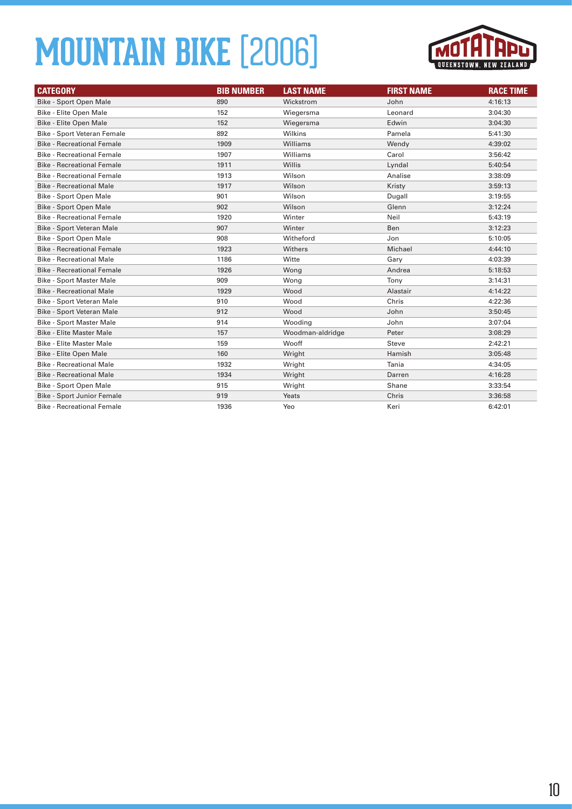

| <b>CATEGORY</b>                    | <b>BIB NUMBER</b> | <b>LAST NAME</b> | <b>FIRST NAME</b> | <b>RACE TIME</b> |
|------------------------------------|-------------------|------------------|-------------------|------------------|
| <b>Bike - Sport Open Male</b>      | 890               | Wickstrom        | John              | 4:16:13          |
| Bike - Elite Open Male             | 152               | Wiegersma        | Leonard           | 3:04:30          |
| Bike - Elite Open Male             | 152               | Wiegersma        | Edwin             | 3:04:30          |
| <b>Bike - Sport Veteran Female</b> | 892               | Wilkins          | Pamela            | 5:41:30          |
| <b>Bike - Recreational Female</b>  | 1909              | Williams         | Wendy             | 4:39:02          |
| <b>Bike - Recreational Female</b>  | 1907              | Williams         | Carol             | 3:56:42          |
| <b>Bike - Recreational Female</b>  | 1911              | Willis           | Lyndal            | 5:40:54          |
| <b>Bike - Recreational Female</b>  | 1913              | Wilson           | Analise           | 3:38:09          |
| <b>Bike - Recreational Male</b>    | 1917              | Wilson           | Kristy            | 3:59:13          |
| Bike - Sport Open Male             | 901               | Wilson           | Dugall            | 3:19:55          |
| <b>Bike - Sport Open Male</b>      | 902               | Wilson           | Glenn             | 3:12:24          |
| <b>Bike - Recreational Female</b>  | 1920              | Winter           | Neil              | 5:43:19          |
| <b>Bike - Sport Veteran Male</b>   | 907               | Winter           | <b>Ben</b>        | 3:12:23          |
| Bike - Sport Open Male             | 908               | Witheford        | Jon               | 5:10:05          |
| <b>Bike - Recreational Female</b>  | 1923              | Withers          | Michael           | 4:44:10          |
| <b>Bike - Recreational Male</b>    | 1186              | Witte            | Gary              | 4:03:39          |
| <b>Bike - Recreational Female</b>  | 1926              | Wong             | Andrea            | 5:18:53          |
| <b>Bike - Sport Master Male</b>    | 909               | Wong             | Tony              | 3:14:31          |
| <b>Bike - Recreational Male</b>    | 1929              | Wood             | Alastair          | 4:14:22          |
| Bike - Sport Veteran Male          | 910               | Wood             | Chris             | 4:22:36          |
| Bike - Sport Veteran Male          | 912               | Wood             | John              | 3:50:45          |
| <b>Bike - Sport Master Male</b>    | 914               | Wooding          | John              | 3:07:04          |
| <b>Bike - Elite Master Male</b>    | 157               | Woodman-aldridge | Peter             | 3:08:29          |
| <b>Bike - Elite Master Male</b>    | 159               | Wooff            | Steve             | 2:42:21          |
| <b>Bike - Elite Open Male</b>      | 160               | Wright           | Hamish            | 3:05:48          |
| <b>Bike - Recreational Male</b>    | 1932              | Wright           | Tania             | 4:34:05          |
| <b>Bike - Recreational Male</b>    | 1934              | Wright           | Darren            | 4:16:28          |
| Bike - Sport Open Male             | 915               | Wright           | Shane             | 3:33:54          |
| <b>Bike - Sport Junior Female</b>  | 919               | Yeats            | Chris             | 3:36:58          |
| <b>Bike - Recreational Female</b>  | 1936              | Yeo              | Keri              | 6:42:01          |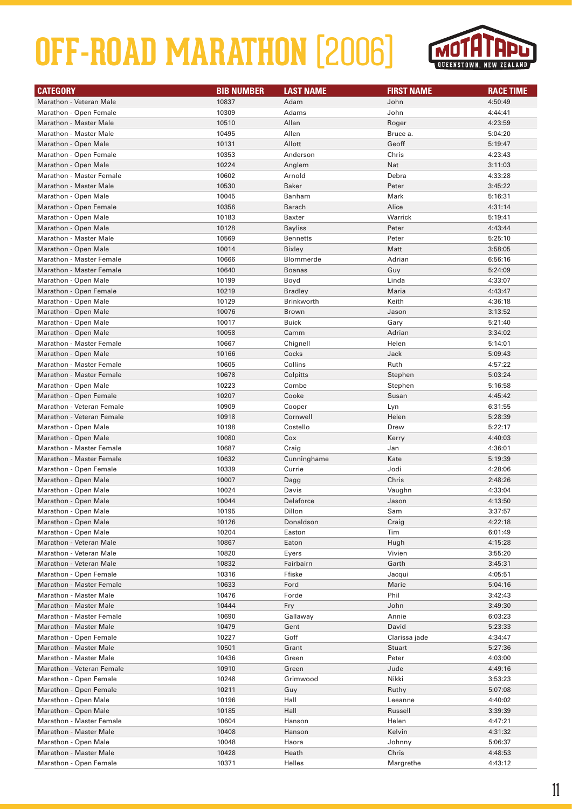# **OFF-ROAD MARATHON** (2006)



| <b>CATEGORY</b>                 | <b>BIB NUMBER</b> | <b>LAST NAME</b>  | <b>FIRST NAME</b> | <b>RACE TIME</b> |
|---------------------------------|-------------------|-------------------|-------------------|------------------|
| Marathon - Veteran Male         | 10837             | Adam              | John              | 4:50:49          |
| Marathon - Open Female          | 10309             | Adams             | John              | 4:44:41          |
| <b>Marathon - Master Male</b>   | 10510             | Allan             | Roger             | 4:23:59          |
| <b>Marathon - Master Male</b>   | 10495             | Allen             | Bruce a.          | 5:04:20          |
| Marathon - Open Male            | 10131             | Allott            | Geoff             | 5:19:47          |
| Marathon - Open Female          | 10353             | Anderson          | Chris             | 4:23:43          |
| Marathon - Open Male            | 10224             | Anglem            | Nat               | 3:11:03          |
| <b>Marathon - Master Female</b> | 10602             | Arnold            | Debra             | 4:33:28          |
| <b>Marathon - Master Male</b>   | 10530             | <b>Baker</b>      | Peter             | 3:45:22          |
| Marathon - Open Male            | 10045             | Banham            | Mark              | 5:16:31          |
| Marathon - Open Female          | 10356             | Barach            | Alice             | 4:31:14          |
| Marathon - Open Male            | 10183             | <b>Baxter</b>     | Warrick           | 5:19:41          |
| Marathon - Open Male            | 10128             | <b>Bayliss</b>    | Peter             | 4:43:44          |
| <b>Marathon - Master Male</b>   | 10569             | Bennetts          | Peter             | 5:25:10          |
| Marathon - Open Male            | 10014             | <b>Bixley</b>     | Matt              | 3:58:05          |
| <b>Marathon - Master Female</b> | 10666             | Blommerde         | Adrian            | 6:56:16          |
| <b>Marathon - Master Female</b> | 10640             | <b>Boanas</b>     | Guy               | 5:24:09          |
| Marathon - Open Male            | 10199             | Boyd              | Linda             | 4:33:07          |
| Marathon - Open Female          | 10219             | <b>Bradley</b>    | Maria             | 4:43:47          |
| Marathon - Open Male            | 10129             | <b>Brinkworth</b> | Keith             | 4:36:18          |
| Marathon - Open Male            | 10076             | <b>Brown</b>      | Jason             | 3:13:52          |
| Marathon - Open Male            | 10017             | <b>Buick</b>      | Gary              | 5:21:40          |
| Marathon - Open Male            | 10058             | Camm              | Adrian            | 3:34:02          |
| Marathon - Master Female        | 10667             | Chignell          | Helen             | 5:14:01          |
| Marathon - Open Male            | 10166             | Cocks             | Jack              | 5:09:43          |
| <b>Marathon - Master Female</b> | 10605             | Collins           | Ruth              | 4:57:22          |
| <b>Marathon - Master Female</b> | 10678             | Colpitts          | Stephen           | 5:03:24          |
| Marathon - Open Male            | 10223             | Combe             | Stephen           | 5:16:58          |
| Marathon - Open Female          | 10207             | Cooke             | Susan             | 4:45:42          |
| Marathon - Veteran Female       | 10909             | Cooper            | Lyn               | 6:31:55          |
| Marathon - Veteran Female       | 10918             | Cornwell          | Helen             | 5:28:39          |
| Marathon - Open Male            | 10198             | Costello          | Drew              | 5:22:17          |
| Marathon - Open Male            | 10080             | Cox               | Kerry             | 4:40:03          |
| <b>Marathon - Master Female</b> | 10687             | Craig             | Jan               | 4:36:01          |
| <b>Marathon - Master Female</b> | 10632             | Cunninghame       | Kate              | 5:19:39          |
| Marathon - Open Female          | 10339             | Currie            | Jodi              | 4:28:06          |
| Marathon - Open Male            | 10007             | Dagg              | Chris             | 2:48:26          |
| Marathon - Open Male            | 10024             | Davis             | Vaughn            | 4:33:04          |
| Marathon - Open Male            | 10044             | Delaforce         | Jason             | 4:13:50          |
| Marathon - Open Male            | 10195             | Dillon            | Sam               | 3:37:57          |
| Marathon - Open Male            | 10126             | Donaldson         | Craig             | 4:22:18          |
| Marathon - Open Male            | 10204             | Easton            | Tim               | 6:01:49          |
| Marathon - Veteran Male         | 10867             | Eaton             | Hugh              | 4:15:28          |
| Marathon - Veteran Male         | 10820             | Eyers             | Vivien            | 3:55:20          |
| Marathon - Veteran Male         | 10832             | Fairbairn         | Garth             | 3:45:31          |
| Marathon - Open Female          | 10316             | Ffiske            | Jacqui            | 4:05:51          |
| <b>Marathon - Master Female</b> | 10633             | Ford              | Marie             | 5:04:16          |
| Marathon - Master Male          | 10476             | Forde             | Phil              | 3:42:43          |
| Marathon - Master Male          | 10444             | Fry               | John              | 3:49:30          |
| <b>Marathon - Master Female</b> | 10690             | Gallaway          | Annie             | 6:03:23          |
| <b>Marathon - Master Male</b>   | 10479             | Gent              | David             | 5:23:33          |
| Marathon - Open Female          | 10227             | Goff              | Clarissa jade     | 4:34:47          |
| Marathon - Master Male          | 10501             | Grant             | <b>Stuart</b>     | 5:27:36          |
| <b>Marathon - Master Male</b>   | 10436             | Green             | Peter             | 4:03:00          |
| Marathon - Veteran Female       | 10910             | Green             | Jude              | 4:49:16          |
| Marathon - Open Female          | 10248             | Grimwood          | Nikki             | 3:53:23          |
| Marathon - Open Female          | 10211             | Guy               | Ruthy             | 5:07:08          |
| Marathon - Open Male            | 10196             | Hall              | Leeanne           | 4:40:02          |
| Marathon - Open Male            | 10185             | Hall              | Russell           | 3:39:39          |
| Marathon - Master Female        | 10604             | Hanson            | Helen             | 4:47:21          |
| Marathon - Master Male          | 10408             | Hanson            | Kelvin            | 4:31:32          |
| Marathon - Open Male            | 10048             | Haora             | Johnny            | 5:06:37          |
| Marathon - Master Male          | 10428             | Heath             | Chris             | 4:48:53          |
| Marathon - Open Female          | 10371             | Helles            | Margrethe         | 4:43:12          |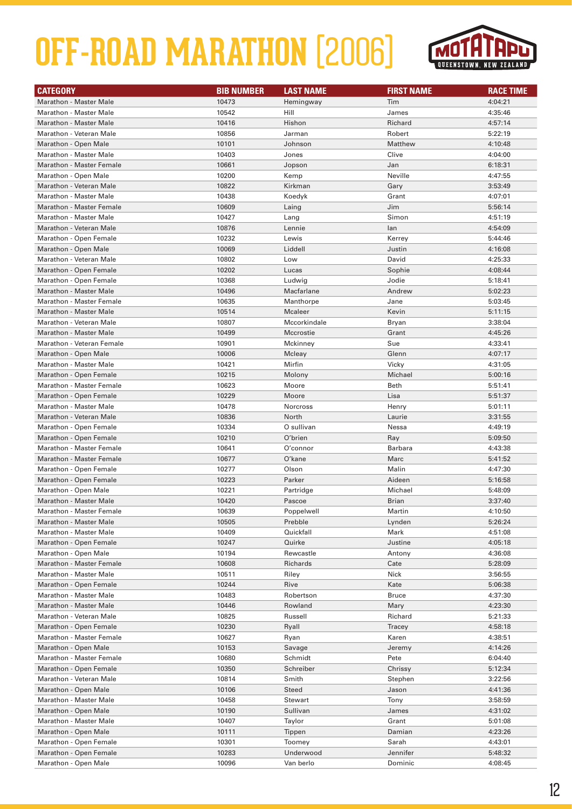# **OFF-ROAD MARATHON** (2006)



| <b>CATEGORY</b>                 | <b>BIB NUMBER</b> | <b>LAST NAME</b> | <b>FIRST NAME</b> | <b>RACE TIME</b> |
|---------------------------------|-------------------|------------------|-------------------|------------------|
| <b>Marathon - Master Male</b>   | 10473             | Hemingway        | Tim               | 4:04:21          |
| <b>Marathon - Master Male</b>   | 10542             | Hill             | James             | 4:35:46          |
| <b>Marathon - Master Male</b>   | 10416             | Hishon           | Richard           | 4:57:14          |
| Marathon - Veteran Male         | 10856             | Jarman           | Robert            | 5:22:19          |
| Marathon - Open Male            | 10101             | Johnson          | Matthew           | 4:10:48          |
| <b>Marathon - Master Male</b>   | 10403             | Jones            | Clive             | 4:04:00          |
| <b>Marathon - Master Female</b> | 10661             | Jopson           | Jan               | 6:18:31          |
| Marathon - Open Male            | 10200             | Kemp             | Neville           | 4:47:55          |
| Marathon - Veteran Male         | 10822             | Kirkman          | Gary              | 3:53:49          |
| <b>Marathon - Master Male</b>   | 10438             | Koedyk           | Grant             | 4:07:01          |
| <b>Marathon - Master Female</b> | 10609             | Laing            | Jim               | 5:56:14          |
| <b>Marathon - Master Male</b>   | 10427             | Lang             | Simon             | 4:51:19          |
| Marathon - Veteran Male         | 10876             | Lennie           | lan               | 4:54:09          |
| Marathon - Open Female          | 10232             | Lewis            | Kerrey            | 5:44:46          |
| Marathon - Open Male            | 10069             | Liddell          | Justin            | 4:16:08          |
| Marathon - Veteran Male         | 10802             | Low              | David             | 4:25:33          |
| Marathon - Open Female          | 10202             | Lucas            | Sophie            | 4:08:44          |
| Marathon - Open Female          | 10368             | Ludwig           | Jodie             | 5:18:41          |
| <b>Marathon - Master Male</b>   | 10496             | Macfarlane       | Andrew            | 5:02:23          |
| <b>Marathon - Master Female</b> | 10635             | Manthorpe        | Jane              | 5:03:45          |
| <b>Marathon - Master Male</b>   | 10514             | <b>Mcaleer</b>   | Kevin             | 5:11:15          |
| Marathon - Veteran Male         | 10807             | Mccorkindale     | Bryan             | 3:38:04          |
| Marathon - Master Male          | 10499             | Mccrostie        | Grant             | 4:45:26          |
| Marathon - Veteran Female       | 10901             | Mckinney         | Sue               | 4:33:41          |
| Marathon - Open Male            | 10006             | Mcleay           | Glenn             | 4:07:17          |
| <b>Marathon - Master Male</b>   | 10421             | Mirfin           |                   | 4:31:05          |
|                                 |                   |                  | Vicky             |                  |
| Marathon - Open Female          | 10215             | Molony           | Michael           | 5:00:16          |
| <b>Marathon - Master Female</b> | 10623             | Moore            | Beth              | 5:51:41          |
| Marathon - Open Female          | 10229             | Moore            | Lisa              | 5:51:37          |
| <b>Marathon - Master Male</b>   | 10478             | Norcross         | Henry             | 5:01:11          |
| Marathon - Veteran Male         | 10836             | North            | Laurie            | 3:31:55          |
| Marathon - Open Female          | 10334             | O sullivan       | Nessa             | 4:49:19          |
| Marathon - Open Female          | 10210             | O'brien          | Ray               | 5:09:50          |
| <b>Marathon - Master Female</b> | 10641             | O'connor         | <b>Barbara</b>    | 4:43:38          |
| <b>Marathon - Master Female</b> | 10677             | O'kane           | Marc              | 5:41:52          |
| Marathon - Open Female          | 10277             | Olson            | Malin             | 4:47:30          |
| Marathon - Open Female          | 10223             | Parker           | Aideen            | 5:16:58          |
| Marathon - Open Male            | 10221             | Partridge        | Michael           | 5:48:09          |
| Marathon - Master Male          | 10420             | Pascoe           | <b>Brian</b>      | 3:37:40          |
| <b>Marathon - Master Female</b> | 10639             | Poppelwell       | Martin            | 4:10:50          |
| <b>Marathon - Master Male</b>   | 10505             | Prebble          | Lynden            | 5:26:24          |
| <b>Marathon - Master Male</b>   | 10409             | Quickfall        | Mark              | 4:51:08          |
| Marathon - Open Female          | 10247             | Quirke           | Justine           | 4:05:18          |
| Marathon - Open Male            | 10194             | Rewcastle        | Antony            | 4:36:08          |
| <b>Marathon - Master Female</b> | 10608             | Richards         | Cate              | 5:28:09          |
| <b>Marathon - Master Male</b>   | 10511             | Riley            | Nick              | 3:56:55          |
| Marathon - Open Female          | 10244             | Rive             | Kate              | 5:06:38          |
| <b>Marathon - Master Male</b>   | 10483             | Robertson        | <b>Bruce</b>      | 4:37:30          |
| Marathon - Master Male          | 10446             | Rowland          | Mary              | 4:23:30          |
| Marathon - Veteran Male         | 10825             | Russell          | Richard           | 5:21:33          |
| Marathon - Open Female          | 10230             | Ryall            | Tracey            | 4:58:18          |
| Marathon - Master Female        | 10627             | Ryan             | Karen             | 4:38:51          |
| Marathon - Open Male            | 10153             | Savage           | Jeremy            | 4:14:26          |
| Marathon - Master Female        | 10680             | Schmidt          | Pete              | 6:04:40          |
| Marathon - Open Female          | 10350             | Schreiber        | Chrissy           | 5:12:34          |
| Marathon - Veteran Male         | 10814             | Smith            | Stephen           | 3:22:56          |
| Marathon - Open Male            | 10106             | Steed            | Jason             | 4:41:36          |
| <b>Marathon - Master Male</b>   | 10458             | Stewart          | Tony              | 3:58:59          |
| Marathon - Open Male            | 10190             | Sullivan         | James             | 4:31:02          |
| <b>Marathon - Master Male</b>   | 10407             | Taylor           | Grant             | 5:01:08          |
| Marathon - Open Male            | 10111             | Tippen           | Damian            | 4:23:26          |
| Marathon - Open Female          | 10301             | Toomey           | Sarah             | 4:43:01          |
| Marathon - Open Female          | 10283             | Underwood        | Jennifer          | 5:48:32          |
| Marathon - Open Male            | 10096             | Van berlo        | Dominic           | 4:08:45          |